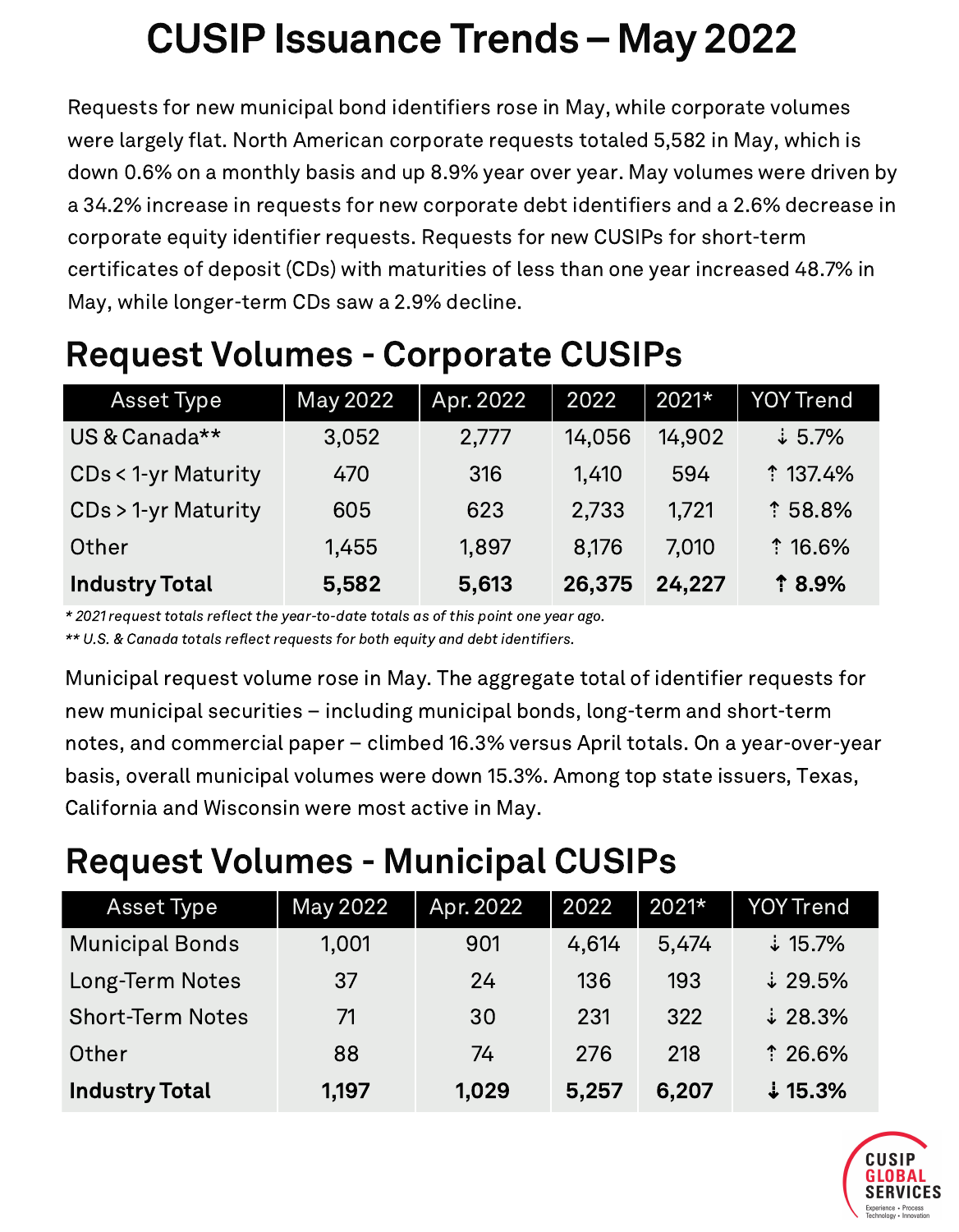# CUSIP Issuance Trends– May 2022

Requests for new municipal bond identifiers rose in May, while corporate volumes were largely flat. North American corporate requests totaled 5,582 in May, which is down 0.6% on a monthly basis and up 8.9% year over year. May volumes were driven by a 34.2% increase in requests for new corporate debt identifiers and a 2.6% decrease in corporate equity identifier requests. Requests for new CUSIPs for short-term certificates of deposit (CDs) with maturities of less than one year increased 48.7% in May, while longer-term CDs saw a 2.9% decline.

| <b>Asset Type</b>             | May 2022 | Apr. 2022 | 2022   | $2021*$ | <b>YOY Trend</b>   |
|-------------------------------|----------|-----------|--------|---------|--------------------|
| US & Canada**                 | 3,052    | 2,777     | 14,056 | 14,902  | $\frac{1}{2}$ 5.7% |
| <b>CDs &lt; 1-yr Maturity</b> | 470      | 316       | 1,410  | 594     | <b>137.4%</b>      |
| CDs > 1-yr Maturity           | 605      | 623       | 2,733  | 1.721   | <sup>1</sup> 58.8% |
| Other                         | 1,455    | 1,897     | 8.176  | 7.010   | <b>16.6%</b>       |
| <b>Industry Total</b>         | 5,582    | 5,613     | 26,375 | 24,227  | <b>18.9%</b>       |

#### Request Volumes - Corporate CUSIPs

\* 2021 request totals reflect the year-to-date totals as of this point one year ago.

\*\* U.S. & Canada totals reflect requests for both equity and debt identifiers.

Municipal request volume rose in May. The aggregate total of identifier requests for new municipal securities – including municipal bonds, long-term and short-term notes, and commercial paper – climbed 16.3% versus April totals. On a year-over-year basis, overall municipal volumes were down 15.3%. Among top state issuers, Texas, California and Wisconsin were most active in May.

### Request Volumes - Municipal CUSIPs

| Asset Type              | May 2022 | Apr. 2022 | 2022  | $2021*$ | <b>YOY Trend</b>          |
|-------------------------|----------|-----------|-------|---------|---------------------------|
| <b>Municipal Bonds</b>  | 1,001    | 901       | 4,614 | 5,474   | $\ddot{\downarrow}$ 15.7% |
| Long-Term Notes         | 37       | 24        | 136   | 193     | $\ddot{\ast}$ 29.5%       |
| <b>Short-Term Notes</b> | 71       | 30        | 231   | 322     | $\ddot{\ast}$ 28.3%       |
| Other                   | 88       | 74        | 276   | 218     | $*26.6%$                  |
| <b>Industry Total</b>   | 1,197    | 1,029     | 5,257 | 6,207   | $\ddagger$ 15.3%          |

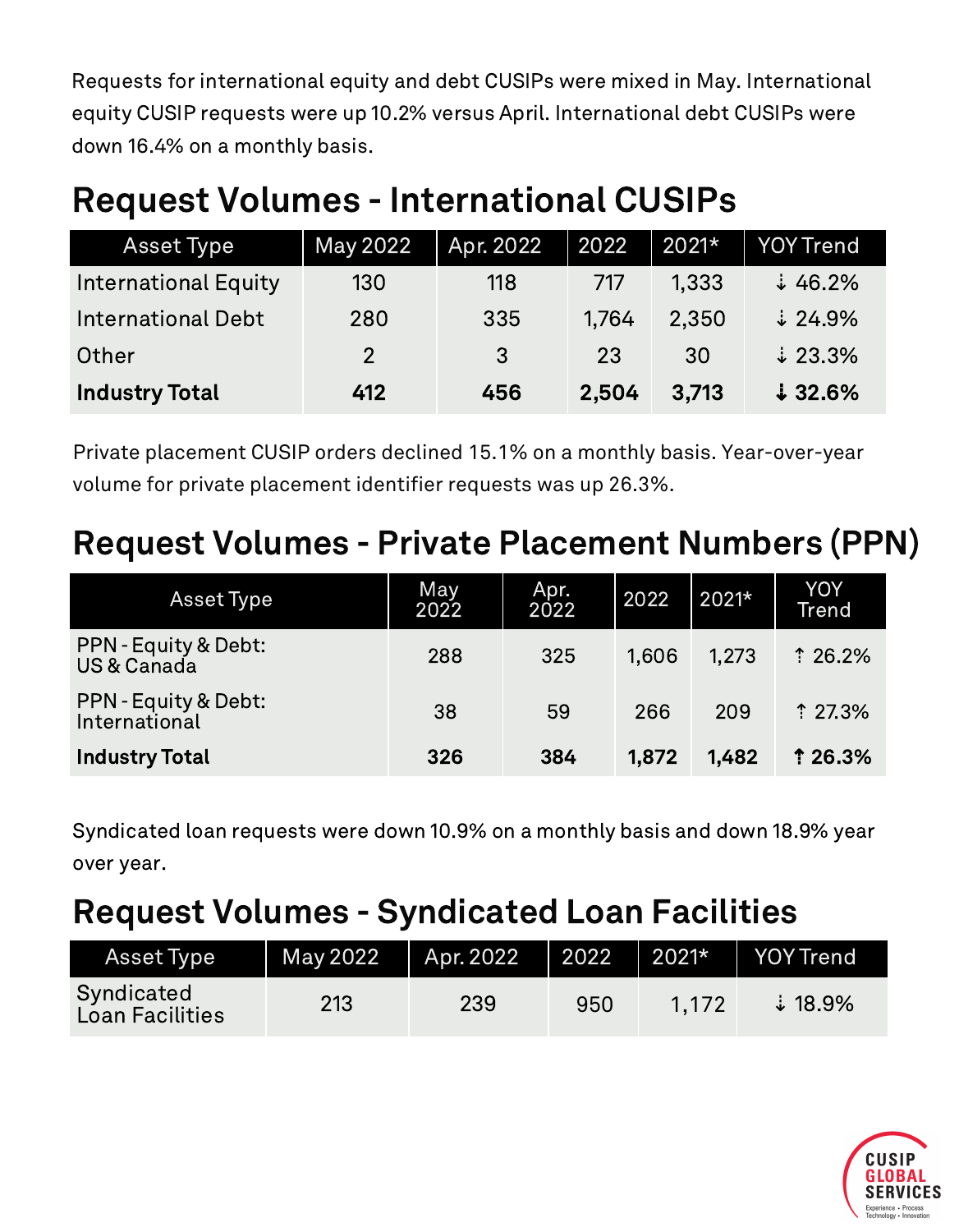Requests for international equity and debt CUSIPs were mixed in May. International equity CUSIP requests were up 10.2% versus April. International debt CUSIPs were down 16.4% on a monthly basis.

#### Request Volumes - International CUSIPs

| Asset Type                  | May 2022       | Apr. 2022         | 2022  | 2021* | YOY Trend           |
|-----------------------------|----------------|-------------------|-------|-------|---------------------|
| <b>International Equity</b> | 130            | 118               | 717   | 1,333 | $\frac{1}{2}$ 46.2% |
| <b>International Debt</b>   | 280            | 335               | 1.764 | 2,350 | $\downarrow$ 24.9%  |
| Other                       | $\overline{2}$ | $\lvert 3 \rvert$ | 23    | 30    | $\downarrow$ 23.3%  |
| <b>Industry Total</b>       | 412            | 456               | 2,504 | 3,713 | $\downarrow$ 32.6%  |

Private placement CUSIP orders declined 15.1% on a monthly basis. Year-over-year volume for private placement identifier requests was up 26.3%.

#### Request Volumes - Private Placement Numbers (PPN)

| Asset Type                            | May<br>2022 | Apr.<br>2022 | 2022  | 2021* | YOY<br><b>Trend</b> |
|---------------------------------------|-------------|--------------|-------|-------|---------------------|
| PPN - Equity & Debt:<br>US & Canada   | 288         | 325          | 1.606 | 1.273 | $*26.2%$            |
| PPN - Equity & Debt:<br>International | 38          | 59           | 266   | 209   | $*27.3%$            |
| <b>Industry Total</b>                 | 326         | 384          | 1,872 | 1,482 | 126.3%              |

Syndicated loan requests were down 10.9% on a monthly basis and down 18.9% year over year.

#### Request Volumes - Syndicated Loan Facilities

| Asset Type                    | May 2022 | Apr. 2022 | 2022 | $20\overline{21*}$ | <b>YOY Trend</b>          |
|-------------------------------|----------|-----------|------|--------------------|---------------------------|
| Syndicated<br>Loan Facilities | 213      | 239       | 950  | 1.172              | $\ddot{\downarrow}$ 18.9% |

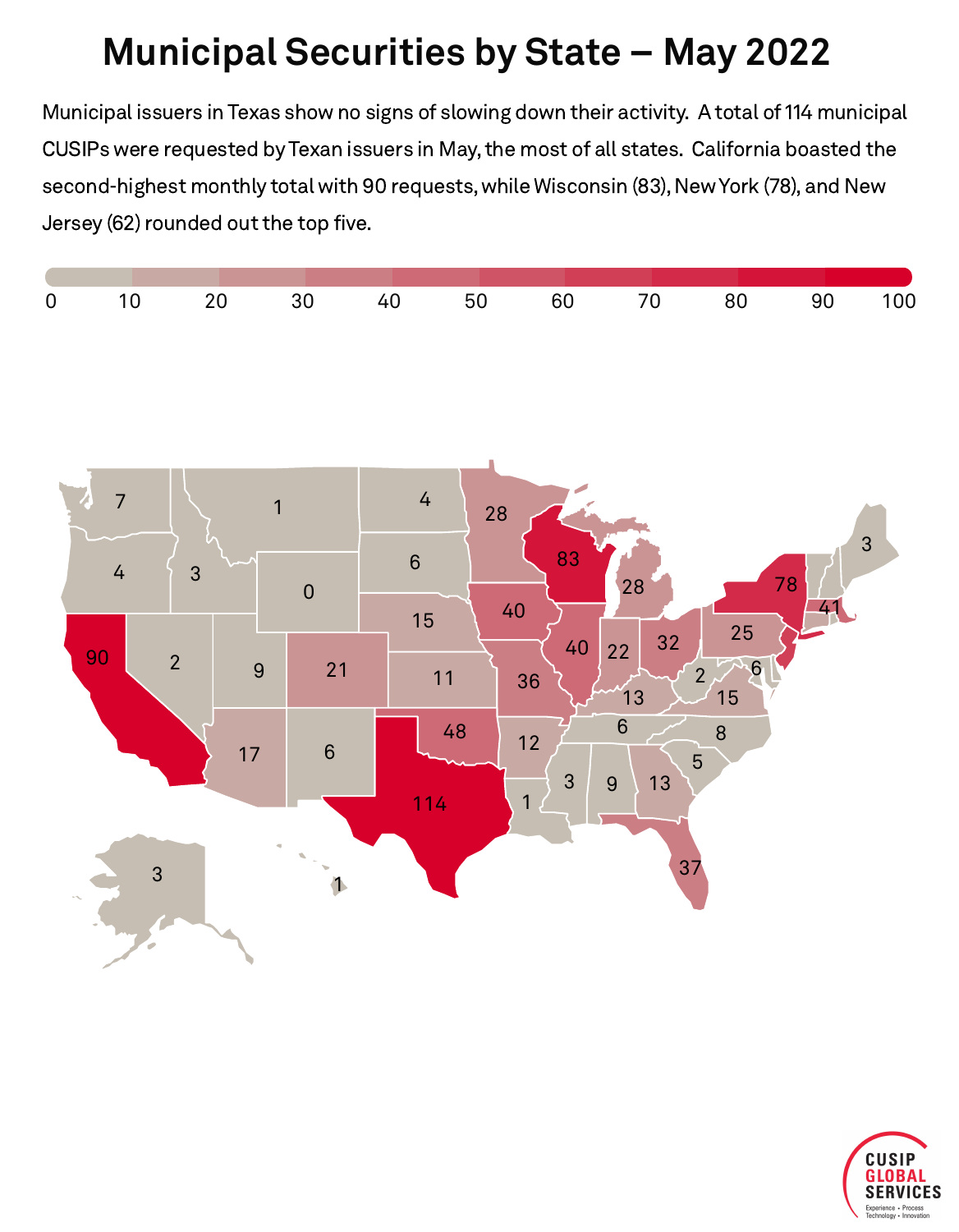## **Municipal Securities by State – May 2022**

Municipal issuers in Texas show no signs of slowing down their activity. A total of 114 municipal CUSIPs were requested by Texan issuers in May, the most of all states. California boasted the second-highest monthly total with 90 requests, while Wisconsin (83), NewYork (78), and New Jersey (62) rounded out the top five.





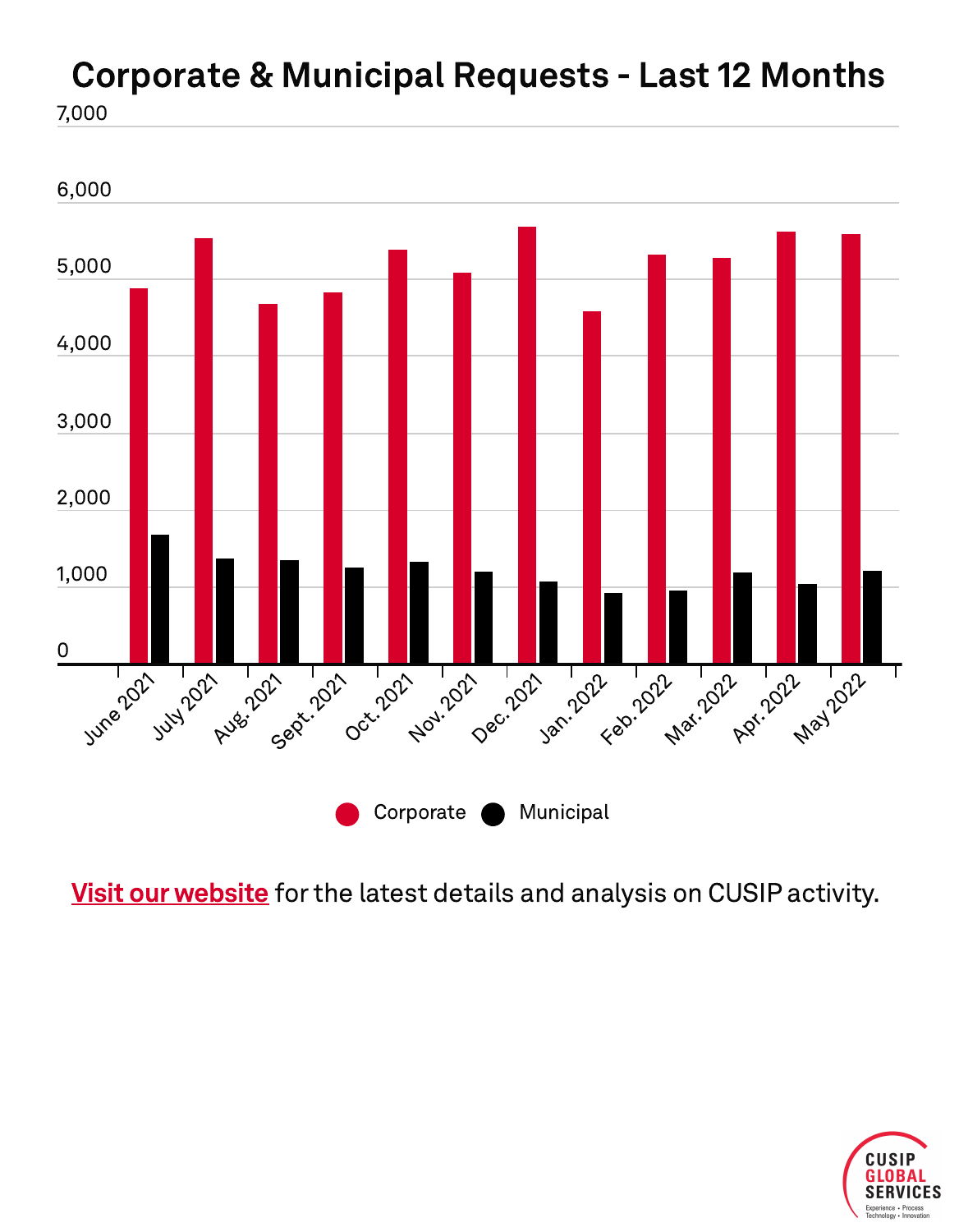# Corporate & Municipal Requests - Last 12 Months

7,000



Visit our website for the latest details and analysis on CUSIP activity.